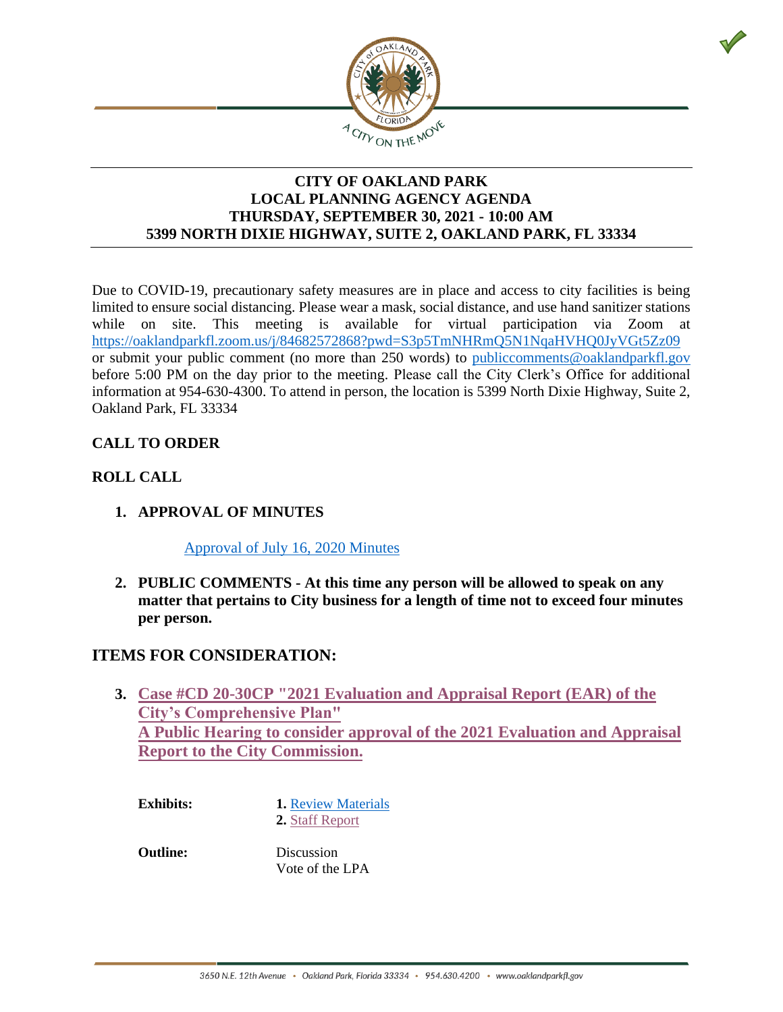

#### **CITY OF OAKLAND PARK LOCAL PLANNING AGENCY AGENDA THURSDAY, SEPTEMBER 30, 2021 - 10:00 AM 5399 NORTH DIXIE HIGHWAY, SUITE 2, OAKLAND PARK, FL 33334**

Due to COVID-19, precautionary safety measures are in place and access to city facilities is being limited to ensure social distancing. Please wear a mask, social distance, and use hand sanitizer stations while on site. This meeting is available for virtual participation via Zoom at <https://oaklandparkfl.zoom.us/j/84682572868?pwd=S3p5TmNHRmQ5N1NqaHVHQ0JyVGt5Zz09> or submit your public comment (no more than 250 words) to publiccomments@oaklandparkfl.gov before 5:00 PM on the day prior to the meeting. Please call the City Clerk's Office for additional information at 954-630-4300. To attend in person, the location is 5399 North Dixie Highway, Suite 2, Oakland Park, FL 33334

### **CALL TO ORDER**

#### **ROLL CALL**

**1. APPROVAL OF MINUTES**

[Approval of July 16,](https://www.dropbox.com/s/kcd0yrhx7fvkxzq/07162020%20LPA%20Minutes.pdf?dl=0) 2020 Minutes

**2. PUBLIC COMMENTS - At this time any person will be allowed to speak on any matter that pertains to City business for a length of time not to exceed four minutes per person.**

## **ITEMS FOR CONSIDERATION:**

**3. Case #CD 20-30CP "2021 Evaluation and Appraisal Report (EAR) of the City's Comprehensive Plan" A Public Hearing [to consider approval of the 2021 Evaluation and Appraisal](https://www.dropbox.com/sh/yzr2ofhtwrlkx6r/AAA7qtw2hSj6F72S8jSLMfsqa?dl=0) Report to the City Commission.**

**Exhibits:** 1. [Review Materials](https://www.dropbox.com/sh/yzr2ofhtwrlkx6r/AAA7qtw2hSj6F72S8jSLMfsqa?dl=0) **2.** [Staff Report](https://www.dropbox.com/s/lgl47lpqcekeubf/AIR%20LPA%20EAR.pdf?dl=0)

**Outline:** Discussion Vote of the LPA